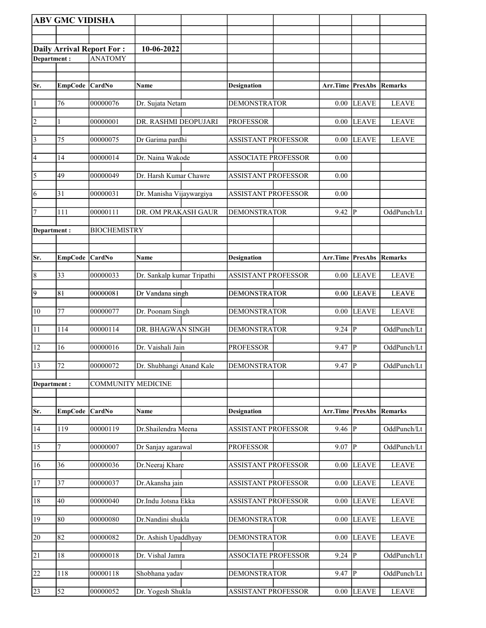|                 | <b>ABV GMC VIDISHA</b> |                                  |                            |                            |          |                        |              |
|-----------------|------------------------|----------------------------------|----------------------------|----------------------------|----------|------------------------|--------------|
|                 |                        |                                  |                            |                            |          |                        |              |
|                 |                        | <b>Daily Arrival Report For:</b> | 10-06-2022                 |                            |          |                        |              |
| Department:     |                        | <b>ANATOMY</b>                   |                            |                            |          |                        |              |
|                 |                        |                                  |                            |                            |          |                        |              |
| Sr.             | EmpCode CardNo         |                                  | Name                       | <b>Designation</b>         | Arr.Time | <b>PresAbs Remarks</b> |              |
|                 |                        |                                  |                            |                            |          |                        |              |
| $\vert$ 1       | 76                     | 00000076                         | Dr. Sujata Netam           | <b>DEMONSTRATOR</b>        | 0.00     | <b>LEAVE</b>           | <b>LEAVE</b> |
| $\overline{2}$  | 1                      | 00000001                         | DR. RASHMI DEOPUJARI       | <b>PROFESSOR</b>           | 0.00     | <b>LEAVE</b>           | <b>LEAVE</b> |
| $\vert$ 3       | 75                     | 00000075                         | Dr Garima pardhi           | <b>ASSISTANT PROFESSOR</b> | $0.00\,$ | <b>LEAVE</b>           | <b>LEAVE</b> |
| $\vert 4 \vert$ | 14                     | 00000014                         | Dr. Naina Wakode           | <b>ASSOCIATE PROFESSOR</b> | 0.00     |                        |              |
| $\overline{5}$  | 49                     | 00000049                         | Dr. Harsh Kumar Chawre     | <b>ASSISTANT PROFESSOR</b> | 0.00     |                        |              |
| 6               | 31                     | 00000031                         | Dr. Manisha Vijaywargiya   | <b>ASSISTANT PROFESSOR</b> | 0.00     |                        |              |
| 17              | 111                    | 00000111                         | DR. OM PRAKASH GAUR        | <b>DEMONSTRATOR</b>        | 9.42     | P                      | OddPunch/Lt  |
| Department:     |                        | <b>BIOCHEMISTRY</b>              |                            |                            |          |                        |              |
|                 |                        |                                  |                            |                            |          |                        |              |
| Sr.             | <b>EmpCode</b>         | <b>CardNo</b>                    | Name                       | <b>Designation</b>         | Arr.Time | <b>PresAbs</b>         | Remarks      |
| $\overline{8}$  | 33                     | 00000033                         | Dr. Sankalp kumar Tripathi | <b>ASSISTANT PROFESSOR</b> | 0.00     | <b>LEAVE</b>           | <b>LEAVE</b> |
| $\overline{9}$  | 81                     | 00000081                         | Dr Vandana singh           | <b>DEMONSTRATOR</b>        | 0.00     | <b>LEAVE</b>           | <b>LEAVE</b> |
| $ 10\rangle$    | 77                     | 00000077                         | Dr. Poonam Singh           | <b>DEMONSTRATOR</b>        | 0.00     | <b>LEAVE</b>           | <b>LEAVE</b> |
| 11              | 114                    | 00000114                         | DR. BHAGWAN SINGH          | <b>DEMONSTRATOR</b>        | 9.24     | P                      | OddPunch/Lt  |
| 12              | 16                     | 00000016                         | Dr. Vaishali Jain          | <b>PROFESSOR</b>           | 9.47     | $\mathbf{P}$           | OddPunch/Lt  |
| 13              | 72                     | 00000072                         | Dr. Shubhangi Anand Kale   | <b>DEMONSTRATOR</b>        | 9.47     | $\overline{P}$         | OddPunch/Lt  |
| Department:     |                        | <b>COMMUNITY MEDICINE</b>        |                            |                            |          |                        |              |
|                 |                        |                                  |                            |                            |          |                        |              |
| Sr.             | <b>EmpCode</b>         | CardNo                           | Name                       | <b>Designation</b>         | Arr.Time | <b>PresAbs Remarks</b> |              |
| 14              | 119                    | 00000119                         | Dr.Shailendra Meena        | <b>ASSISTANT PROFESSOR</b> | 9.46     | P                      | OddPunch/Lt  |
| 15              | 7                      | 00000007                         | Dr Sanjay agarawal         | <b>PROFESSOR</b>           | 9.07     | ${\bf P}$              | OddPunch/Lt  |
| 16              | 36                     | 00000036                         | Dr.Neeraj Khare            | <b>ASSISTANT PROFESSOR</b> | 0.00     | <b>LEAVE</b>           | <b>LEAVE</b> |
| 17              | 37                     | 00000037                         | Dr.Akansha jain            | <b>ASSISTANT PROFESSOR</b> | 0.00     | <b>LEAVE</b>           | <b>LEAVE</b> |
| 18              | 40                     | 00000040                         | Dr.Indu Jotsna Ekka        | <b>ASSISTANT PROFESSOR</b> | 0.00     | <b>LEAVE</b>           | <b>LEAVE</b> |
| 19              | 80                     | 00000080                         | Dr.Nandini shukla          | <b>DEMONSTRATOR</b>        | 0.00     | <b>LEAVE</b>           | <b>LEAVE</b> |
| 20              | 82                     | 00000082                         | Dr. Ashish Upaddhyay       | <b>DEMONSTRATOR</b>        | 0.00     | <b>LEAVE</b>           | <b>LEAVE</b> |
| 21              | 18                     | 00000018                         | Dr. Vishal Jamra           | <b>ASSOCIATE PROFESSOR</b> | 9.24     | $\overline{P}$         | OddPunch/Lt  |
| 22              | 118                    | 00000118                         | Shobhana yadav             | <b>DEMONSTRATOR</b>        | 9.47     | $\mathbf{P}$           | OddPunch/Lt  |
| 23              | 52                     | 00000052                         | Dr. Yogesh Shukla          | <b>ASSISTANT PROFESSOR</b> | $0.00\,$ | <b>LEAVE</b>           | <b>LEAVE</b> |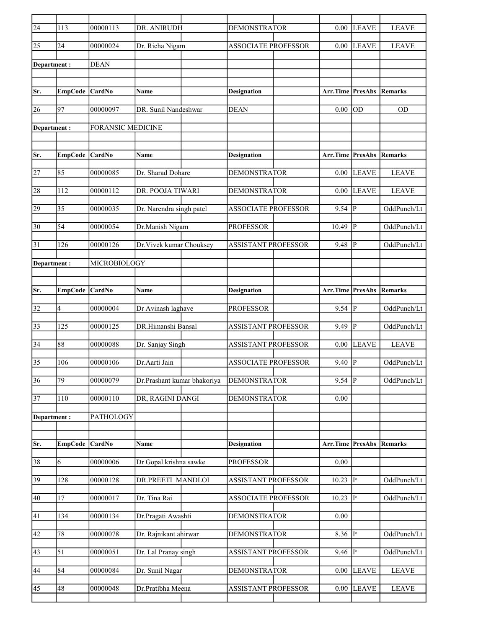| $\overline{24}$ | 113             | 00000113                 | DR. ANIRUDH                 | <b>DEMONSTRATOR</b>        | 0.00                            | <b>LEAVE</b>    | <b>LEAVE</b> |
|-----------------|-----------------|--------------------------|-----------------------------|----------------------------|---------------------------------|-----------------|--------------|
| 25              | 24              | 00000024                 | Dr. Richa Nigam             | <b>ASSOCIATE PROFESSOR</b> | 0.00                            | <b>LEAVE</b>    | <b>LEAVE</b> |
| Department:     |                 | <b>DEAN</b>              |                             |                            |                                 |                 |              |
|                 |                 |                          |                             |                            |                                 |                 |              |
| Sr.             | EmpCode CardNo  |                          | Name                        | <b>Designation</b>         | <b>Arr.Time PresAbs Remarks</b> |                 |              |
| 26              | 97              | 00000097                 | DR. Sunil Nandeshwar        | <b>DEAN</b>                | 0.00                            | <b>OD</b>       | <b>OD</b>    |
| Department:     |                 | <b>FORANSIC MEDICINE</b> |                             |                            |                                 |                 |              |
|                 |                 |                          |                             |                            |                                 |                 |              |
| Sr.             | EmpCode         | CardNo                   | <b>Name</b>                 | <b>Designation</b>         | Arr.Time                        | <b>PresAbs</b>  | Remarks      |
| 27              | 85              | 00000085                 | Dr. Sharad Dohare           | <b>DEMONSTRATOR</b>        | 0.00                            | <b>LEAVE</b>    | <b>LEAVE</b> |
| 28              | 112             | 00000112                 | DR. POOJA TIWARI            | <b>DEMONSTRATOR</b>        | 0.00                            | <b>LEAVE</b>    | <b>LEAVE</b> |
| 29              | 35              | 00000035                 | Dr. Narendra singh patel    | <b>ASSOCIATE PROFESSOR</b> | 9.54                            | P               | OddPunch/Lt  |
| 30              | 54              | 00000054                 | Dr.Manish Nigam             | <b>PROFESSOR</b>           | 10.49                           | $\mathbf{P}$    | OddPunch/Lt  |
| 31              | 126             | 00000126                 | Dr. Vivek kumar Chouksey    | <b>ASSISTANT PROFESSOR</b> | 9.48                            | P               | OddPunch/Lt  |
| Department :    |                 | MICROBIOLOGY             |                             |                            |                                 |                 |              |
|                 |                 |                          |                             |                            |                                 |                 |              |
| Sr.             | EmpCode CardNo  |                          | Name                        | <b>Designation</b>         | <b>Arr.Time PresAbs Remarks</b> |                 |              |
|                 |                 |                          |                             |                            |                                 |                 |              |
| 32              | 4               | 00000004                 | Dr Avinash laghave          | <b>PROFESSOR</b>           | 9.54                            | P               | OddPunch/Lt  |
| 33              | 125             | 00000125                 | DR.Himanshi Bansal          | <b>ASSISTANT PROFESSOR</b> | 9.49                            | P               | OddPunch/Lt  |
| 34              | 88              | 00000088                 | Dr. Sanjay Singh            | <b>ASSISTANT PROFESSOR</b> | 0.00                            | <b>LEAVE</b>    | <b>LEAVE</b> |
| 35              | 106             | 00000106                 | Dr.Aarti Jain               | <b>ASSOCIATE PROFESSOR</b> | 9.40                            | P               | OddPunch/Lt  |
| $\overline{36}$ | $\overline{79}$ | 00000079                 | Dr.Prashant kumar bhakoriya | <b>DEMONSTRATOR</b>        | 9.54                            | P               | OddPunch/Lt  |
| 37              | <sup>110</sup>  | 00000110                 | DR, RAGINI DANGI            | <b>DEMONSTRATOR</b>        | 0.00                            |                 |              |
| Department:     |                 | PATHOLOGY                |                             |                            |                                 |                 |              |
|                 |                 |                          |                             |                            |                                 |                 |              |
| Sr.             | <b>EmpCode</b>  | CardNo                   | Name                        | <b>Designation</b>         | Arr.Time                        | PresAbs Remarks |              |
| 38              | 6               | 00000006                 | Dr Gopal krishna sawke      | <b>PROFESSOR</b>           | 0.00                            |                 |              |
| 39              | 128             | 00000128                 | DR.PREETI MANDLOI           | <b>ASSISTANT PROFESSOR</b> | 10.23                           | $ {\bf P} $     | OddPunch/Lt  |
| 40              | 17              | 00000017                 | Dr. Tina Rai                | <b>ASSOCIATE PROFESSOR</b> | 10.23                           | P               | OddPunch/Lt  |
| 41              | 134             | 00000134                 | Dr.Pragati Awashti          | <b>DEMONSTRATOR</b>        | 0.00                            |                 |              |
| 42              | 78              | 00000078                 | Dr. Rajnikant ahirwar       | <b>DEMONSTRATOR</b>        | 8.36                            | P               | OddPunch/Lt  |
| 43              | 51              | 00000051                 | Dr. Lal Pranay singh        | ASSISTANT PROFESSOR        | 9.46                            | $\mathbf{P}$    | OddPunch/Lt  |
| 44              | 84              | 00000084                 | Dr. Sunil Nagar             | <b>DEMONSTRATOR</b>        | 0.00                            | <b>LEAVE</b>    | <b>LEAVE</b> |
| 45              | 48              | 00000048                 | Dr.Pratibha Meena           | ASSISTANT PROFESSOR        | 0.00                            | <b>LEAVE</b>    | <b>LEAVE</b> |
|                 |                 |                          |                             |                            |                                 |                 |              |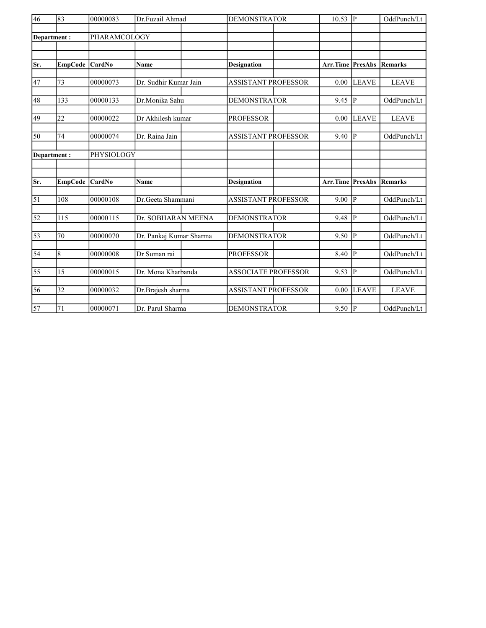| 46              | 83              | 00000083     | Dr.Fuzail Ahmad         | <b>DEMONSTRATOR</b>        | 10.53    | P              | OddPunch/Lt    |
|-----------------|-----------------|--------------|-------------------------|----------------------------|----------|----------------|----------------|
|                 | Department:     | PHARAMCOLOGY |                         |                            |          |                |                |
|                 |                 |              |                         |                            |          |                |                |
|                 |                 |              |                         |                            |          |                |                |
| Sr.             | <b>EmpCode</b>  | CardNo       | <b>Name</b>             | <b>Designation</b>         | Arr.Time | PresAbs        | <b>Remarks</b> |
|                 |                 |              |                         |                            |          |                |                |
| 47              | 73              | 00000073     | Dr. Sudhir Kumar Jain   | ASSISTANT PROFESSOR        | 0.00     | <b>LEAVE</b>   | <b>LEAVE</b>   |
| 48              | 133             | 00000133     | Dr.Monika Sahu          | <b>DEMONSTRATOR</b>        | 9.45     | IР             | OddPunch/Lt    |
| 49              | 22              | 00000022     | Dr Akhilesh kumar       | <b>PROFESSOR</b>           | 0.00     | <b>LEAVE</b>   | <b>LEAVE</b>   |
|                 |                 |              |                         |                            |          |                |                |
| 50              | 74              | 00000074     | Dr. Raina Jain          | <b>ASSISTANT PROFESSOR</b> | 9.40     | lр             | OddPunch/Lt    |
|                 | Department:     | PHYSIOLOGY   |                         |                            |          |                |                |
|                 |                 |              |                         |                            |          |                |                |
|                 |                 |              |                         |                            |          |                |                |
| Sr.             | <b>EmpCode</b>  | CardNo       | <b>Name</b>             | <b>Designation</b>         | Arr.Time | <b>PresAbs</b> | <b>Remarks</b> |
| $\overline{51}$ | 108             | 00000108     | Dr.Geeta Shammani       | <b>ASSISTANT PROFESSOR</b> | 9.00     | p              | OddPunch/Lt    |
|                 |                 |              |                         |                            |          |                |                |
| $\overline{52}$ | 115             | 00000115     | Dr. SOBHARAN MEENA      | <b>DEMONSTRATOR</b>        | 9.48     | lр             | OddPunch/Lt    |
| $\overline{53}$ | 70              | 00000070     | Dr. Pankaj Kumar Sharma | <b>DEMONSTRATOR</b>        | 9.50     | P              | OddPunch/Lt    |
|                 |                 |              |                         |                            |          |                |                |
| $\overline{54}$ | $\sqrt{8}$      | 00000008     | Dr Suman rai            | <b>PROFESSOR</b>           | 8.40     | P              | OddPunch/Lt    |
| 55              | 15              | 00000015     | Dr. Mona Kharbanda      | <b>ASSOCIATE PROFESSOR</b> | 9.53     | P              | OddPunch/Lt    |
|                 |                 |              |                         |                            |          |                |                |
| 56              | $\overline{32}$ | 00000032     | Dr.Brajesh sharma       | <b>ASSISTANT PROFESSOR</b> | 0.00     | <b>LEAVE</b>   | <b>LEAVE</b>   |
| $\overline{57}$ | 71              | 00000071     | Dr. Parul Sharma        | <b>DEMONSTRATOR</b>        | $9.50$ P |                | OddPunch/Lt    |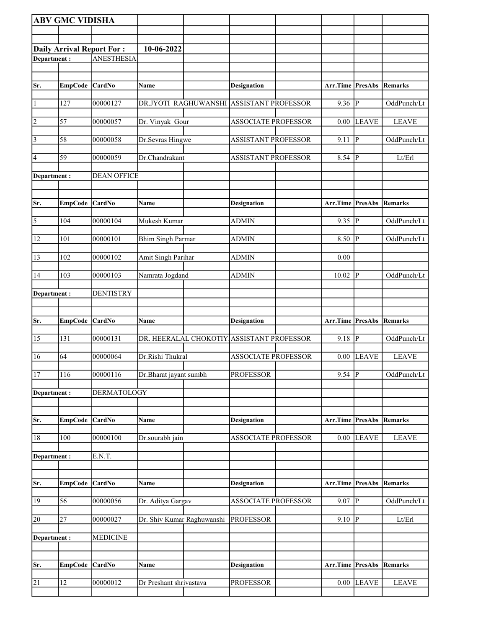|                 | <b>ABV GMC VIDISHA</b> |                                  |                                          |                            |                       |                |                |
|-----------------|------------------------|----------------------------------|------------------------------------------|----------------------------|-----------------------|----------------|----------------|
|                 |                        |                                  |                                          |                            |                       |                |                |
|                 |                        | <b>Daily Arrival Report For:</b> | 10-06-2022                               |                            |                       |                |                |
| Department:     |                        | <b>ANESTHESIA</b>                |                                          |                            |                       |                |                |
|                 |                        |                                  |                                          |                            |                       |                |                |
| Sr.             | EmpCode CardNo         |                                  | Name                                     | Designation                | Arr.Time PresAbs      |                | Remarks        |
|                 |                        |                                  |                                          |                            |                       |                |                |
| $\vert$ 1       | 127                    | 00000127                         | DR.JYOTI RAGHUWANSHI ASSISTANT PROFESSOR |                            | 9.36                  | ∣P             | OddPunch/Lt    |
| $\overline{2}$  | 57                     | 00000057                         | Dr. Vinyak Gour                          | <b>ASSOCIATE PROFESSOR</b> | 0.00                  | <b>LEAVE</b>   | <b>LEAVE</b>   |
| $\vert$ 3       | 58                     | 00000058                         | Dr.Sevras Hingwe                         | <b>ASSISTANT PROFESSOR</b> | 9.11                  | ∣P             | OddPunch/Lt    |
| 4               | 59                     | 00000059                         | Dr.Chandrakant                           | <b>ASSISTANT PROFESSOR</b> | 8.54                  | IР             | Lt/Erl         |
| Department:     |                        | <b>DEAN OFFICE</b>               |                                          |                            |                       |                |                |
|                 |                        |                                  |                                          |                            |                       |                |                |
| Sr.             | EmpCode                | <b>CardNo</b>                    | Name                                     | <b>Designation</b>         | Arr.Time PresAbs      |                | Remarks        |
| $\overline{5}$  | 104                    | 00000104                         | Mukesh Kumar                             | <b>ADMIN</b>               | $9.35$ P              |                | OddPunch/Lt    |
| 12              | 101                    | 00000101                         | <b>Bhim Singh Parmar</b>                 | ADMIN                      | 8.50                  | lР             | OddPunch/Lt    |
| 13              | 102                    | 00000102                         | Amit Singh Parihar                       | <b>ADMIN</b>               | 0.00                  |                |                |
|                 |                        |                                  |                                          |                            |                       |                |                |
| 14              | 103                    | 00000103                         | Namrata Jogdand                          | <b>ADMIN</b>               | 10.02                 | p              | OddPunch/Lt    |
| Department:     |                        | <b>DENTISTRY</b>                 |                                          |                            |                       |                |                |
|                 |                        |                                  |                                          |                            |                       |                |                |
|                 |                        |                                  |                                          |                            |                       |                |                |
| Sr.             | <b>EmpCode</b>         | CardNo                           | Name                                     | <b>Designation</b>         | Arr.Time PresAbs      |                | Remarks        |
| 15              | 131                    | 00000131                         | DR. HEERALAL CHOKOTIY.                   | <b>ASSISTANT PROFESSOR</b> | 9.18                  | P              | OddPunch/Lt    |
| 16              | 64                     | 00000064                         | Dr.Rishi Thukral                         | <b>ASSOCIATE PROFESSOR</b> | 0.00                  | LEAVE          | <b>LEAVE</b>   |
| 17              | 116                    | 00000116                         | Dr.Bharat jayant sumbh                   | <b>PROFESSOR</b>           | $9.54$ P              |                | OddPunch/Lt    |
| Department:     |                        | <b>DERMATOLOGY</b>               |                                          |                            |                       |                |                |
|                 |                        |                                  |                                          |                            |                       |                |                |
| Sr.             | <b>EmpCode</b>         | CardNo                           | Name                                     | <b>Designation</b>         | Arr.Time              | <b>PresAbs</b> | <b>Remarks</b> |
| 18              | $\overline{100}$       | 00000100                         | Dr.sourabh jain                          | <b>ASSOCIATE PROFESSOR</b> | 0.00                  | <b>LEAVE</b>   | <b>LEAVE</b>   |
|                 |                        |                                  |                                          |                            |                       |                |                |
| Department :    |                        | E.N.T.                           |                                          |                            |                       |                |                |
|                 |                        | CardNo                           |                                          |                            | Arr.Time PresAbs      |                | Remarks        |
| Sr.             | <b>EmpCode</b>         |                                  | Name                                     | <b>Designation</b>         |                       |                |                |
| 19              | 56                     | 00000056                         | Dr. Aditya Gargav                        | <b>ASSOCIATE PROFESSOR</b> | 9.07 $  \overline{P}$ |                | OddPunch/Lt    |
| 20              | 27                     | 00000027                         | Dr. Shiv Kumar Raghuwanshi               | <b>PROFESSOR</b>           | 9.10                  | P              | Lt/Erl         |
| Department:     |                        | <b>MEDICINE</b>                  |                                          |                            |                       |                |                |
|                 |                        |                                  |                                          |                            |                       |                |                |
| Sr.             | <b>EmpCode</b>         | CardNo                           | Name                                     | <b>Designation</b>         | Arr.Time              | <b>PresAbs</b> | Remarks        |
| $\overline{21}$ | $\overline{12}$        | 00000012                         | Dr Preshant shrivastava                  | <b>PROFESSOR</b>           |                       | $0.00$ LEAVE   | <b>LEAVE</b>   |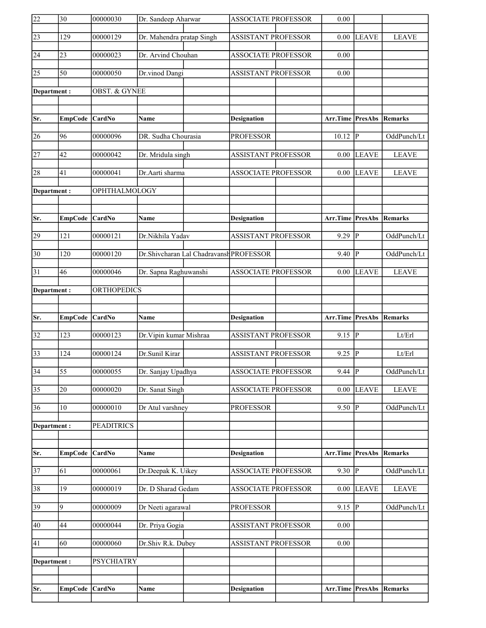| 22              | $\overline{30}$ | 00000030                 | Dr. Sandeep Aharwar       |                                         | <b>ASSOCIATE PROFESSOR</b> | 0.00                            |                        |              |
|-----------------|-----------------|--------------------------|---------------------------|-----------------------------------------|----------------------------|---------------------------------|------------------------|--------------|
| 23              | 129             | 00000129                 | Dr. Mahendra pratap Singh |                                         | <b>ASSISTANT PROFESSOR</b> | 0.00                            | <b>LEAVE</b>           | <b>LEAVE</b> |
| 24              | 23              | 00000023                 | Dr. Arvind Chouhan        |                                         | <b>ASSOCIATE PROFESSOR</b> | 0.00                            |                        |              |
| $\overline{25}$ | 50              | 00000050                 | Dr.vinod Dangi            |                                         | <b>ASSISTANT PROFESSOR</b> | 0.00                            |                        |              |
| Department:     |                 | <b>OBST. &amp; GYNEE</b> |                           |                                         |                            |                                 |                        |              |
|                 |                 |                          |                           |                                         |                            |                                 |                        |              |
| Sr.             | <b>EmpCode</b>  | CardNo                   | <b>Name</b>               |                                         | <b>Designation</b>         | <b>Arr.Time PresAbs Remarks</b> |                        |              |
| 26              | 96              | 00000096                 | DR. Sudha Chourasia       |                                         | <b>PROFESSOR</b>           | 10.12                           | IР                     | OddPunch/Lt  |
| $\overline{27}$ | 42              | 00000042                 | Dr. Mridula singh         |                                         | <b>ASSISTANT PROFESSOR</b> | 0.00                            | <b>LEAVE</b>           | <b>LEAVE</b> |
| 28              | 41              | 00000041                 | Dr.Aarti sharma           |                                         | <b>ASSOCIATE PROFESSOR</b> | 0.00                            | <b>LEAVE</b>           | <b>LEAVE</b> |
| Department:     |                 | OPHTHALMOLOGY            |                           |                                         |                            |                                 |                        |              |
|                 |                 |                          |                           |                                         |                            |                                 |                        |              |
| Sr.             | EmpCode CardNo  |                          | <b>Name</b>               |                                         | <b>Designation</b>         | Arr.Time PresAbs Remarks        |                        |              |
| 29              | 121             | $\frac{00000121}{}$      | Dr.Nikhila Yadav          |                                         | <b>ASSISTANT PROFESSOR</b> | 9.29                            | IР                     | OddPunch/Lt  |
| $\overline{30}$ | 120             | 00000120                 |                           | Dr.Shivcharan Lal Chadravansh PROFESSOR |                            | 9.40                            | P                      | OddPunch/Lt  |
| 31              | 46              | 00000046                 | Dr. Sapna Raghuwanshi     |                                         | <b>ASSOCIATE PROFESSOR</b> | 0.00                            | LEAVE                  | <b>LEAVE</b> |
| Department:     |                 | <b>ORTHOPEDICS</b>       |                           |                                         |                            |                                 |                        |              |
|                 |                 |                          |                           |                                         |                            |                                 |                        |              |
|                 |                 |                          |                           |                                         |                            |                                 |                        |              |
| Sr.             | <b>EmpCode</b>  | <b>CardNo</b>            | Name                      |                                         | <b>Designation</b>         | Arr.Time                        | <b>PresAbs Remarks</b> |              |
| $\overline{32}$ | 123             | 00000123                 | Dr. Vipin kumar Mishraa   |                                         | <b>ASSISTANT PROFESSOR</b> | 9.15  P                         |                        | Lt/Erl       |
| $\overline{33}$ | 124             | 00000124                 | Dr.Sunil Kirar            |                                         | <b>ASSISTANT PROFESSOR</b> | $9.25 \overline{P}$             |                        | Lt/Erl       |
| $\overline{34}$ | $\overline{55}$ | 00000055                 | Dr. Sanjay Upadhya        |                                         | <b>ASSOCIATE PROFESSOR</b> | $9.44$ P                        |                        | OddPunch/Lt  |
| $\overline{35}$ | 20              | 00000020                 | Dr. Sanat Singh           |                                         | <b>ASSOCIATE PROFESSOR</b> | 0.00                            | <b>LEAVE</b>           | <b>LEAVE</b> |
| 36              | 10              | 00000010                 | Dr Atul varshney          |                                         | <b>PROFESSOR</b>           | 9.50                            | P                      | OddPunch/Lt  |
| Department:     |                 | <b>PEADITRICS</b>        |                           |                                         |                            |                                 |                        |              |
|                 |                 |                          |                           |                                         |                            |                                 |                        |              |
| Sr.             | <b>EmpCode</b>  | CardNo                   | Name                      |                                         | <b>Designation</b>         | Arr.Time                        | <b>PresAbs</b>         | Remarks      |
| $\overline{37}$ | 61              | 00000061                 | Dr.Deepak K. Uikey        |                                         | <b>ASSOCIATE PROFESSOR</b> | $9.30$ P                        |                        | OddPunch/Lt  |
| 38              | 19              | 00000019                 | Dr. D Sharad Gedam        |                                         | <b>ASSOCIATE PROFESSOR</b> | 0.00                            | <b>LEAVE</b>           | <b>LEAVE</b> |
| 39              | 9               | 00000009                 | Dr Neeti agarawal         |                                         | <b>PROFESSOR</b>           | $9.15 \vert \overline{P}$       |                        | OddPunch/Lt  |
| 40              | 44              | 00000044                 | Dr. Priya Gogia           |                                         | <b>ASSISTANT PROFESSOR</b> | 0.00                            |                        |              |
| 41              | 60              | 00000060                 | Dr.Shiv R.k. Dubey        |                                         | <b>ASSISTANT PROFESSOR</b> | 0.00                            |                        |              |
| Department:     |                 | <b>PSYCHIATRY</b>        |                           |                                         |                            |                                 |                        |              |
|                 |                 |                          |                           |                                         |                            |                                 |                        |              |